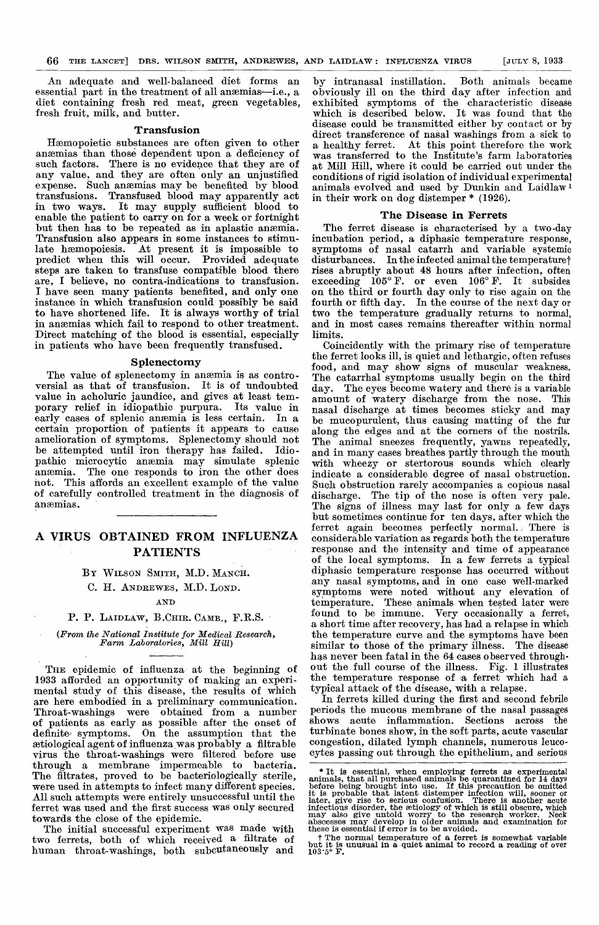An adequate and well-balanced diet forms an essential part in the treatment of all anaemias—i.e., a diet containing fresh red meat, green vegetables, fresh fruit, milk, and butter.

#### Transfusion

Haemopoietic substances are often given to other anaemias than those dependent upon a deficiency of such factors. There is no evidence that they are of any value, and they are often only an unjustified expense. Such anaemias may be benefited by blood transfusions. Transfused blood may apparently act in two ways. It may supply sufficient blood to enable the patient to carry on for a week or fortnight but then has to be repeated as in aplastic anaemia. Transfusion also appears in some instances to stimulate hæmopoiesis. At present it is impossible to predict when this will occur. Provided adequate steps are taken to transfuse compatible blood there are, I believe, no contra-indications to transfusion. I have seen many patients benefited, and only one instance in which transfusion could possibly be said to have shortened life. It is always worthy of trial in ansemias which fail to respond to other treatment. Direct matching of the blood is essential, especially in patients who have been frequently transfused.

### Splenectomy

The value of splenectomy in anæmia is as controversial as that of transfusion. It is of undoubted value in acholuric jaundice, and gives at least temporary relief in idiopathic purpura. Its value in early cases of splenic anaemia is less certain. In a certain proportion of patients it appears to cause amelioration of symptoms. Splenectomy should not be attempted until iron therapy has failed. Idiopathic microcytic anaemia may simulate splenic anaemia. The one responds to iron the other does not. This affords an excellent example of the value of carefully controlled treatment in the diagnosis of anæmias.

# A VIRUS OBTAINED FROM INFLUENZA PATIENTS

### BY WILSON SMITH, M.D. MANCH.

## C. H. ANDREWES, M.D. LOND.

#### AND

#### P. P. LAIDLAW, B.CHIR. CAMB., F.R.S.

(From the National Institute for Medical Research, Farm Laboratories, Mill Hill)

 $\bar{z}$ 

THE epidemic of influenza at the beginning of 1933 afforded an opportunity of making an experimental study of this disease, the results of which are here embodied in a preliminary communication. Throat-washings were obtained from a number of patients as early as possible after the onset of definite symptoms. On the assumption that the aetiological agent of influenza was probably a filtrable virus the throat-washings were filtered before use through a membrane impermeable to bacteria. The filtrates, proved to be bacteriologically sterile, were used in attempts to infect many different species. All such attempts were entirely unsuccessful until the ferret was used and the first success was only secured towards the close of the epidemic.

The initial successful experiment was made with two ferrets, both of which received a filtrate of human throat-washings, both subcutaneously and

by intranasal instillation. Both animals became obviously ill on the third day after infection and exhibited symptoms of the characteristic disease which is described below. It was found that the disease could be transmitted either by contact or by direct transference of nasal washings from a sick to a healthy ferret. At this point therefore the work was transferred to the Institute's farm laboratories at Mill Hill, where it could be carried out under the conditions of rigid isolation of individual experimental animals evolved and used by Dunkin and Laidlaw 1 in their work on dog distemper \* (1926).

#### The Disease in Ferrets

The ferret disease is characterised by a two-day incubation period, a diphasic temperature response, symptoms of nasal catarrh and variable systemic disturbances. In the infected animal the temperature † rises abruptly about 48 hours after infection, often exceeding 105° F. or even 106° F. It subsides on the third or fourth day only to rise again on the fourth or fifth day. In the course of the next day or two the temperature gradually returns to normal, and in most cases remains thereafter within normal limits.

Coincidently with the primary rise of temperature the ferret looks ill, is quiet and lethargic, often refuses food, and may show signs of muscular weakness. The catarrhal symptoms usually begin on the third day. The eyes become watery and there is a variable amount of watery discharge from the nose. This nasal discharge at times becomes sticky and may be mucopurulent, thus causing matting of the fur along the edges and at the corners of the nostrils. The animal sneezes frequently, yawns repeatedly, and in many cases breathes partly through the mouth with wheezy or stertorous sounds which clearly indicate a considerable degree of nasal obstruction. Such obstruction rarely accompanies a copious nasal discharge. The tip of the nose is often very pale. The signs of illness may last for only a few days but sometimes continue for ten days, after which the ferret again becomes perfectly normal.. There is considerable variation as regards both the temperature response and the intensity and time of appearance of the local symptoms. In a few ferrets a typical diphasic temperature response has occurred without any nasal symptoms, and in one case well-marked symptoms were noted without any elevation of temperature. These animals when tested later were found to be immune. Very occasionally a ferret, a short time after recovery, has had a relapse in which the temperature curve and the symptoms have been similar to those of the primary illness. The disease has never been fatal in the 64 cases observed throughout the full course of the illness. Fig. 1 illustrates the temperature response of a ferret which had a typical attack of the disease, with a relapse.

In ferrets killed during the first and second febrile periods the mucous membrane of the nasal passages shows acute inflammation. Sections across the turbinate bones show, in the soft parts, acute vascular congestion, dilated lymph channels, numerous leucocytes passing out through the epithelium, and serious

<sup>\*</sup> It is essential, when employing ferrets as experimental<br>animals, that all purchased animals be quarantined for 14 days<br>before being brought into use. If this precaution be omitted<br>it is probable that latent distemper in

t The normal temperature of a ferret is somewhat variable but it is unusual in a quiet animal to record a reading of over 1035° F.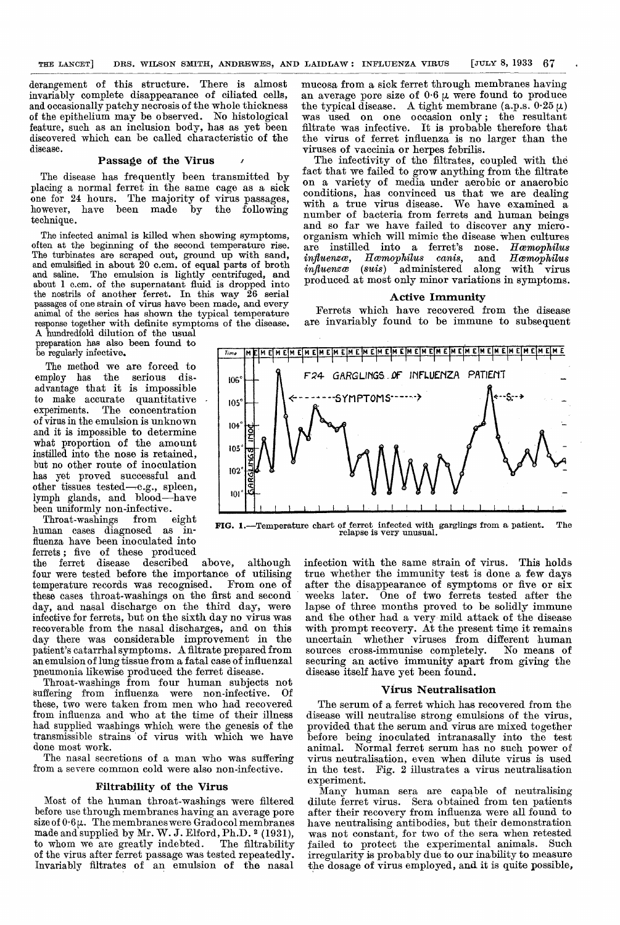derangement of this structure. There is almost invariably complete disappearance of ciliated cells, and occasionally patchy necrosis of the whole thickness of the epithelium may be observed. No histological feature, such as an inclusion body, has as yet been discovered which can be called characteristic of the disease.

### Passage of the Virus

The disease has frequently been transmitted by placing a normal ferret in the same cage as a sick one for 24 hours. The majority of virus passages, however, have been made by the following however, have been made technique.

The infected animal is killed when showing symptoms, often at the beginning of the second temperature rise. The turbinates are scraped out, ground up with sand, and emulsified in about 20 c.cm. of equal parts of broth and saline. The emulsion is lightly centrifuged, and about 1 c.cm. of the supernatant fluid is dropped into the nostrils of another ferret. In this way 26 serial passages of one strain of virus have been made, and every animal of the series has shown the typical temperature response together with definite symptoms of the disease.

A hundredfold dilution of the usual preparation has also been found to be regularly infective.

The method we are forced to employ has the serious disadvantage that it is impossible to make accurate quantitative experiments. The concentration The concentration of virus in the emulsion is unknown and it is impossible to determine what proportion of the amount instilled into the nose is retained, but no other route of inoculation has yet proved successful and other tissues tested—e.g., spleen, lymph glands, and blood-have been uniformly non-infective.<br>Throat-washings from eight

Throat-washings from human cases diagnosed as influenza have been inoculated into ferrets; five of these produced

the ferret disease described above, although four were tested before the importance of utilising temperature records was recognised. From one of temperature records was recognised. these cases throat-washings on the first and second day, and nasal discharge on the third day, were infective for ferrets, but on the sixth day no virus was recoverable from the nasal discharges, and on this day there was considerable improvement in the patient's catarrhal symptoms. A filtrate prepared from an emulsion of lung tissue from a fatal case of influenzal pneumonia likewise produced the ferret disease.

Throat-washings from four human subjects not suffering from influenza were non-infective. Of these, two were taken from men who had recovered from influenza and who at the time of their illness had supplied washings which were the genesis of the transmissible strains of virus with which we have done most work.<br>The nasal secretions of a man who was suffering

from a severe common cold were also non-infective.

#### Filtrability of the Virus

Most of the human throat-washings were filtered before use through membranes having an average pore size of  $0.6\mu$ . The membranes were Gradocol membranes made and supplied by Mr. W. J. Elford, Ph.D. 2 (1931), to whom we are greatly indebted. The filtrability to whom we are greatly indebted. The filtrability<br>of the virus after ferret passage was tested repeatedly. Invariably filtrates of an emulsion of the nasal

mucosa from a sick ferret through membranes having an average pore size of  $0.6 \mu$  were found to produce the typical disease. A tight membrane (a.p.s.  $0.25 \mu$ ) was used on one occasion only; the resultant filtrate was infective. It is probable therefore that the virus of ferret influenza is no larger than the viruses of vaccinia or herpes febrilis.

The infectivity of the filtrates, coupled with the fact that we failed to grow anything from the filtrate on a variety of media under aerobic or anaerobic with a true virus disease. We have examined  $\tilde{a}$ number of bacteria from ferrets and human beings and so far we have failed to discover any microorganism which will mimic the disease when cultures<br>are instilled into a ferret's nose. Harmophilus are instilled into a ferret's nose. Hæmophilus<br>influenzæ, Hæmophilus canis, and Hæmophilus<br>influenzæ (suis) administered along with virus  $(suis)$  administered along with virus produced at most only minor variations in symptoms.

## Active Immunity

Ferrets which have recovered from the disease are invariably found to be immune to subsequent



FIG. I.—Temperature chart of ferret infected with garglings from a patient. The relapse is very unusual.

infection with the same strain of virus. This holds true whether the immunity test is done a few days after the disappearance of symptoms or five or six weeks later. One of two ferrets tested after the lapse of three months proved to be solidly immune and the other had a very mild attack of the disease with prompt recovery. At the present time it remains uncertain whether viruses from different human<br>sources cross-immunise completely. No means of sources cross-immunise completely. securing an active immunity apart from giving the disease itself have yet been found.

### Virus Neutralisation

The serum of a ferret which has recovered from the disease will neutralise strong emulsions of the virus, before being inoculated intranasally into the test animal. Normal ferret serum has no such power of Normal ferret serum has no such power of virus neutralisation, even when dilute virus is used in the test. Fig. 2 illustrates a virus neutralisation experiment.

Many human sera are capable of neutralising dilute ferret virus. Sera obtained from ten patients after their recovery from influenza were all found to have neutralising antibodies, but their demonstration was not constant, for two of the sera when retested failed to protect the experimental animals. Such failed to protect the experimental animals. irregularity is probably due to our inability to measure the dosage of virus employed, and it is quite possible,